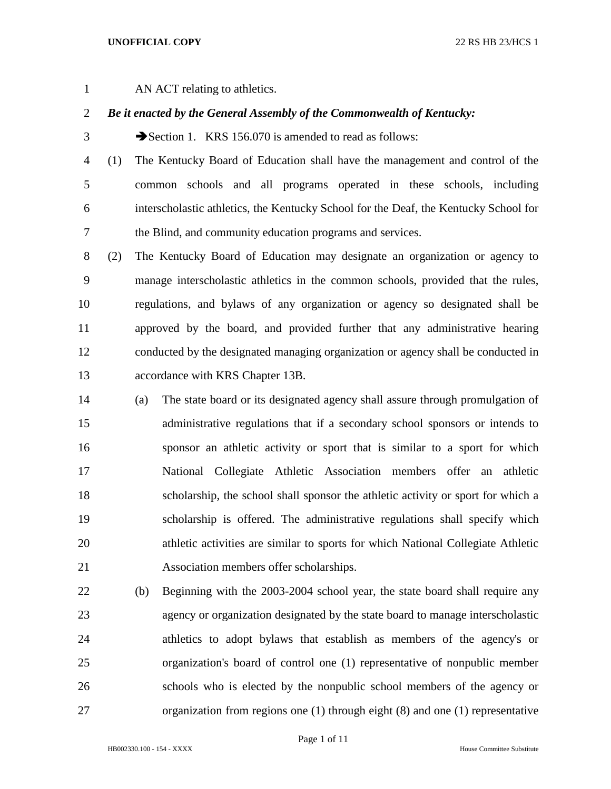## **UNOFFICIAL COPY** 22 RS HB 23/HCS 1

AN ACT relating to athletics.

## *Be it enacted by the General Assembly of the Commonwealth of Kentucky:*

3 Section 1. KRS 156.070 is amended to read as follows:

 (1) The Kentucky Board of Education shall have the management and control of the common schools and all programs operated in these schools, including interscholastic athletics, the Kentucky School for the Deaf, the Kentucky School for the Blind, and community education programs and services.

 (2) The Kentucky Board of Education may designate an organization or agency to manage interscholastic athletics in the common schools, provided that the rules, regulations, and bylaws of any organization or agency so designated shall be approved by the board, and provided further that any administrative hearing conducted by the designated managing organization or agency shall be conducted in accordance with KRS Chapter 13B.

- (a) The state board or its designated agency shall assure through promulgation of administrative regulations that if a secondary school sponsors or intends to sponsor an athletic activity or sport that is similar to a sport for which National Collegiate Athletic Association members offer an athletic scholarship, the school shall sponsor the athletic activity or sport for which a scholarship is offered. The administrative regulations shall specify which athletic activities are similar to sports for which National Collegiate Athletic Association members offer scholarships.
- (b) Beginning with the 2003-2004 school year, the state board shall require any agency or organization designated by the state board to manage interscholastic athletics to adopt bylaws that establish as members of the agency's or organization's board of control one (1) representative of nonpublic member schools who is elected by the nonpublic school members of the agency or organization from regions one (1) through eight (8) and one (1) representative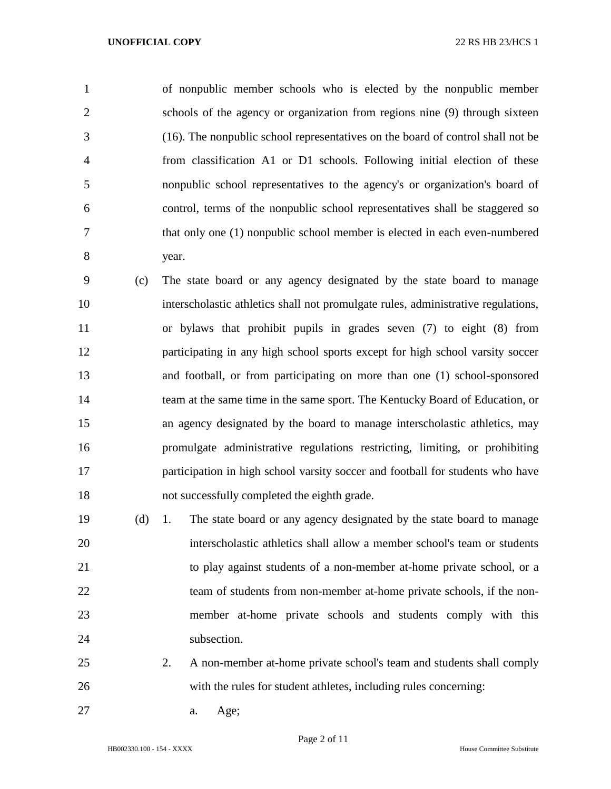of nonpublic member schools who is elected by the nonpublic member schools of the agency or organization from regions nine (9) through sixteen (16). The nonpublic school representatives on the board of control shall not be from classification A1 or D1 schools. Following initial election of these nonpublic school representatives to the agency's or organization's board of control, terms of the nonpublic school representatives shall be staggered so that only one (1) nonpublic school member is elected in each even-numbered year.

 (c) The state board or any agency designated by the state board to manage interscholastic athletics shall not promulgate rules, administrative regulations, or bylaws that prohibit pupils in grades seven (7) to eight (8) from participating in any high school sports except for high school varsity soccer and football, or from participating on more than one (1) school-sponsored team at the same time in the same sport. The Kentucky Board of Education, or an agency designated by the board to manage interscholastic athletics, may promulgate administrative regulations restricting, limiting, or prohibiting participation in high school varsity soccer and football for students who have not successfully completed the eighth grade.

 (d) 1. The state board or any agency designated by the state board to manage interscholastic athletics shall allow a member school's team or students to play against students of a non-member at-home private school, or a 22 team of students from non-member at-home private schools, if the non- member at-home private schools and students comply with this 24 subsection.

- 2. A non-member at-home private school's team and students shall comply with the rules for student athletes, including rules concerning:
- a. Age;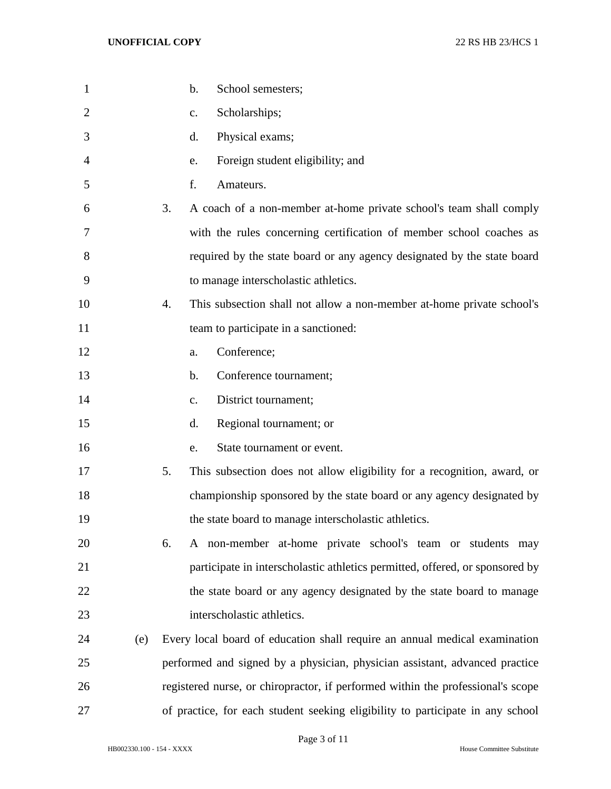| $\mathbf{1}$   |     | $\mathbf b$ .<br>School semesters;                                              |
|----------------|-----|---------------------------------------------------------------------------------|
| $\overline{2}$ |     | Scholarships;<br>c.                                                             |
| 3              |     | Physical exams;<br>d.                                                           |
| 4              |     | Foreign student eligibility; and<br>e.                                          |
| 5              |     | f.<br>Amateurs.                                                                 |
| 6              |     | A coach of a non-member at-home private school's team shall comply<br>3.        |
| 7              |     | with the rules concerning certification of member school coaches as             |
| 8              |     | required by the state board or any agency designated by the state board         |
| 9              |     | to manage interscholastic athletics.                                            |
| 10             |     | This subsection shall not allow a non-member at-home private school's<br>4.     |
| 11             |     | team to participate in a sanctioned:                                            |
| 12             |     | Conference;<br>a.                                                               |
| 13             |     | Conference tournament;<br>b.                                                    |
| 14             |     | District tournament;<br>c.                                                      |
| 15             |     | Regional tournament; or<br>d.                                                   |
| 16             |     | State tournament or event.<br>e.                                                |
| 17             |     | 5.<br>This subsection does not allow eligibility for a recognition, award, or   |
| 18             |     | championship sponsored by the state board or any agency designated by           |
| 19             |     | the state board to manage interscholastic athletics.                            |
| 20             |     | A non-member at-home private school's team or students may<br>6.                |
| 21             |     | participate in interscholastic athletics permitted, offered, or sponsored by    |
| 22             |     | the state board or any agency designated by the state board to manage           |
| 23             |     | interscholastic athletics.                                                      |
| 24             | (e) | Every local board of education shall require an annual medical examination      |
| 25             |     | performed and signed by a physician, physician assistant, advanced practice     |
| 26             |     | registered nurse, or chiropractor, if performed within the professional's scope |
| 27             |     | of practice, for each student seeking eligibility to participate in any school  |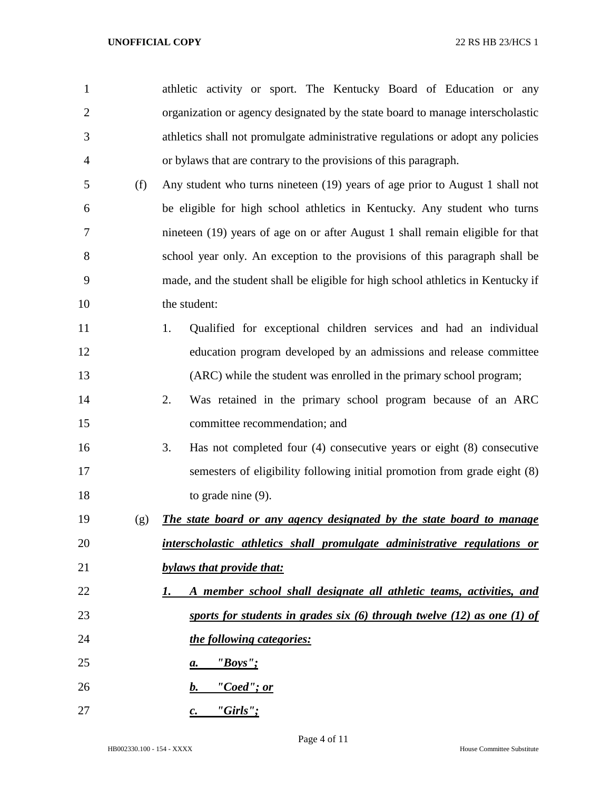| $\mathbf{1}$   |     | athletic activity or sport. The Kentucky Board of Education or any               |
|----------------|-----|----------------------------------------------------------------------------------|
| $\overline{2}$ |     | organization or agency designated by the state board to manage interscholastic   |
| 3              |     | athletics shall not promulgate administrative regulations or adopt any policies  |
| 4              |     | or bylaws that are contrary to the provisions of this paragraph.                 |
| 5              | (f) | Any student who turns nineteen (19) years of age prior to August 1 shall not     |
| 6              |     | be eligible for high school athletics in Kentucky. Any student who turns         |
| 7              |     | nineteen (19) years of age on or after August 1 shall remain eligible for that   |
| 8              |     | school year only. An exception to the provisions of this paragraph shall be      |
| 9              |     | made, and the student shall be eligible for high school athletics in Kentucky if |
| 10             |     | the student:                                                                     |
| 11             |     | Qualified for exceptional children services and had an individual<br>1.          |
| 12             |     | education program developed by an admissions and release committee               |
| 13             |     | (ARC) while the student was enrolled in the primary school program;              |
| 14             |     | 2.<br>Was retained in the primary school program because of an ARC               |
| 15             |     | committee recommendation; and                                                    |
| 16             |     | Has not completed four $(4)$ consecutive years or eight $(8)$ consecutive<br>3.  |
| 17             |     | semesters of eligibility following initial promotion from grade eight (8)        |
| 18             |     | to grade nine $(9)$ .                                                            |
| 19             | (g) | The state board or any agency designated by the state board to manage            |
| 20             |     | interscholastic athletics shall promulgate administrative regulations or         |
| 21             |     | bylaws that provide that:                                                        |
| 22             |     | A member school shall designate all athletic teams, activities, and<br>I.        |
| 23             |     | sports for students in grades six $(6)$ through twelve $(12)$ as one $(1)$ of    |
| 24             |     | the following categories:                                                        |
| 25             |     | $"Boys"$ ;<br>а.                                                                 |
| 26             |     | <u>"Coed"; or</u><br>$\bm{b}$ .                                                  |
| 27             |     | $"Girls"$ ;<br>$\mathcal{C}$ .                                                   |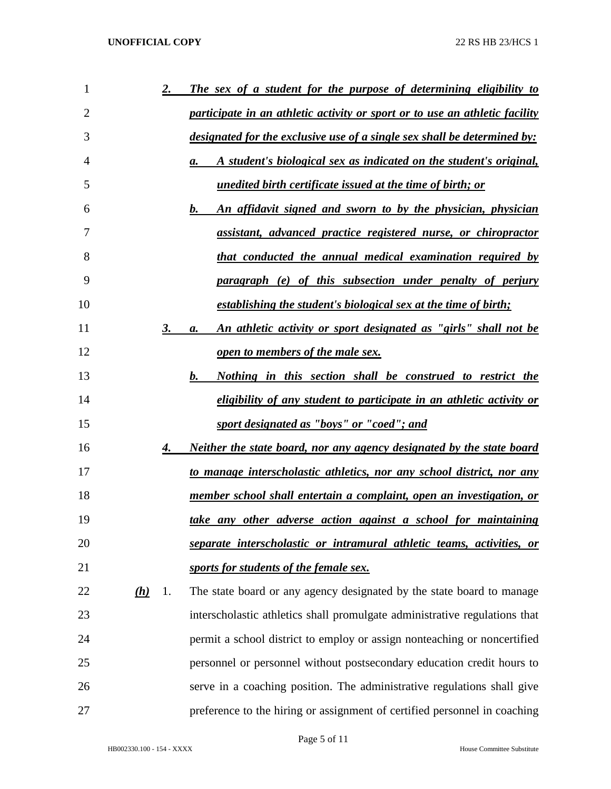| 1              |     | 2. | The sex of a student for the purpose of determining eligibility to              |
|----------------|-----|----|---------------------------------------------------------------------------------|
| $\overline{2}$ |     |    | participate in an athletic activity or sport or to use an athletic facility     |
| 3              |     |    | <u>designated for the exclusive use of a single sex shall be determined by:</u> |
| 4              |     |    | A student's biological sex as indicated on the student's original,<br>a.        |
| 5              |     |    | unedited birth certificate issued at the time of birth; or                      |
| 6              |     |    | $\bm{b}$ .<br>An affidavit signed and sworn to by the physician, physician      |
| 7              |     |    | assistant, advanced practice registered nurse, or chiropractor                  |
| 8              |     |    | that conducted the annual medical examination required by                       |
| 9              |     |    | paragraph (e) of this subsection under penalty of perjury                       |
| 10             |     |    | establishing the student's biological sex at the time of birth;                 |
| 11             |     | 3. | An athletic activity or sport designated as "girls" shall not be<br>a.          |
| 12             |     |    | open to members of the male sex.                                                |
| 13             |     |    | $\bm{b}$ .<br><u>Nothing in this section shall be construed to restrict the</u> |
| 14             |     |    | eligibility of any student to participate in an athletic activity or            |
| 15             |     |    | sport designated as "boys" or "coed"; and                                       |
| 16             |     | 4. | <u>Neither the state board, nor any agency designated by the state board</u>    |
| 17             |     |    | to manage interscholastic athletics, nor any school district, nor any           |
| 18             |     |    | member school shall entertain a complaint, open an investigation, or            |
| 19             |     |    | take any other adverse action against a school for maintaining                  |
| 20             |     |    | separate interscholastic or intramural athletic teams, activities, or           |
| 21             |     |    | sports for students of the female sex.                                          |
| 22             | (h) | 1. | The state board or any agency designated by the state board to manage           |
| 23             |     |    | interscholastic athletics shall promulgate administrative regulations that      |
| 24             |     |    | permit a school district to employ or assign nonteaching or noncertified        |
| 25             |     |    | personnel or personnel without postsecondary education credit hours to          |
| 26             |     |    | serve in a coaching position. The administrative regulations shall give         |
| 27             |     |    | preference to the hiring or assignment of certified personnel in coaching       |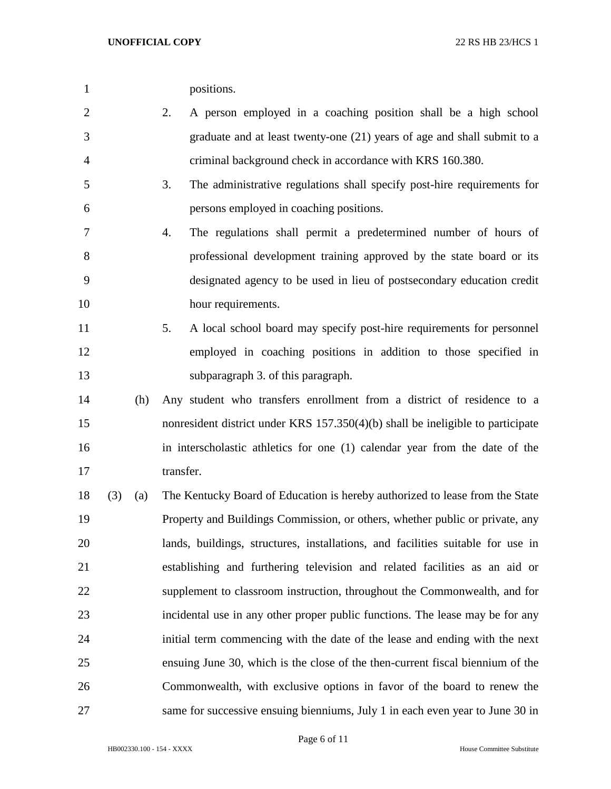| positions. |
|------------|
|            |

- 2. A person employed in a coaching position shall be a high school graduate and at least twenty-one (21) years of age and shall submit to a criminal background check in accordance with KRS 160.380.
- 3. The administrative regulations shall specify post-hire requirements for persons employed in coaching positions.
- 4. The regulations shall permit a predetermined number of hours of professional development training approved by the state board or its designated agency to be used in lieu of postsecondary education credit 10 hour requirements.
- 5. A local school board may specify post-hire requirements for personnel employed in coaching positions in addition to those specified in subparagraph 3. of this paragraph.
- (h) Any student who transfers enrollment from a district of residence to a nonresident district under KRS 157.350(4)(b) shall be ineligible to participate in interscholastic athletics for one (1) calendar year from the date of the 17 transfer.
- (3) (a) The Kentucky Board of Education is hereby authorized to lease from the State Property and Buildings Commission, or others, whether public or private, any lands, buildings, structures, installations, and facilities suitable for use in establishing and furthering television and related facilities as an aid or supplement to classroom instruction, throughout the Commonwealth, and for incidental use in any other proper public functions. The lease may be for any initial term commencing with the date of the lease and ending with the next ensuing June 30, which is the close of the then-current fiscal biennium of the Commonwealth, with exclusive options in favor of the board to renew the same for successive ensuing bienniums, July 1 in each even year to June 30 in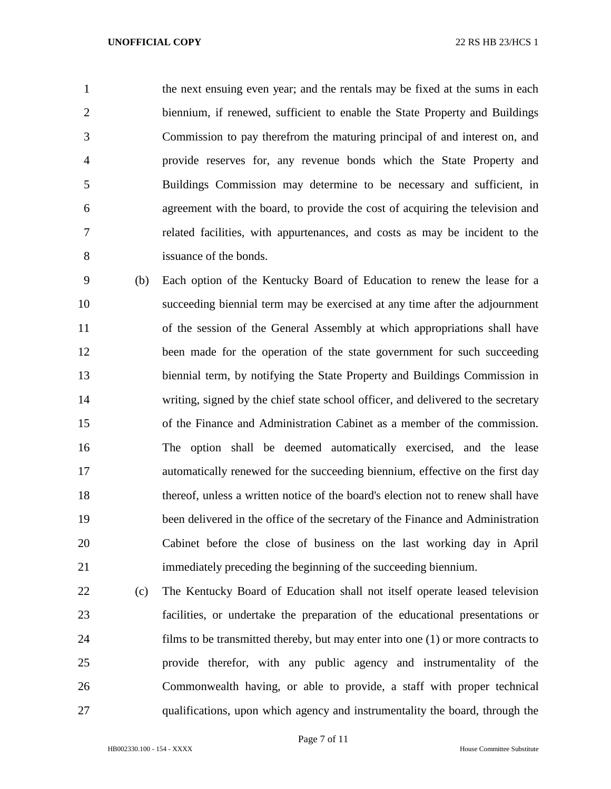the next ensuing even year; and the rentals may be fixed at the sums in each biennium, if renewed, sufficient to enable the State Property and Buildings Commission to pay therefrom the maturing principal of and interest on, and provide reserves for, any revenue bonds which the State Property and Buildings Commission may determine to be necessary and sufficient, in agreement with the board, to provide the cost of acquiring the television and related facilities, with appurtenances, and costs as may be incident to the issuance of the bonds.

 (b) Each option of the Kentucky Board of Education to renew the lease for a succeeding biennial term may be exercised at any time after the adjournment of the session of the General Assembly at which appropriations shall have 12 been made for the operation of the state government for such succeeding biennial term, by notifying the State Property and Buildings Commission in writing, signed by the chief state school officer, and delivered to the secretary of the Finance and Administration Cabinet as a member of the commission. The option shall be deemed automatically exercised, and the lease automatically renewed for the succeeding biennium, effective on the first day thereof, unless a written notice of the board's election not to renew shall have been delivered in the office of the secretary of the Finance and Administration Cabinet before the close of business on the last working day in April immediately preceding the beginning of the succeeding biennium.

 (c) The Kentucky Board of Education shall not itself operate leased television facilities, or undertake the preparation of the educational presentations or films to be transmitted thereby, but may enter into one (1) or more contracts to provide therefor, with any public agency and instrumentality of the Commonwealth having, or able to provide, a staff with proper technical qualifications, upon which agency and instrumentality the board, through the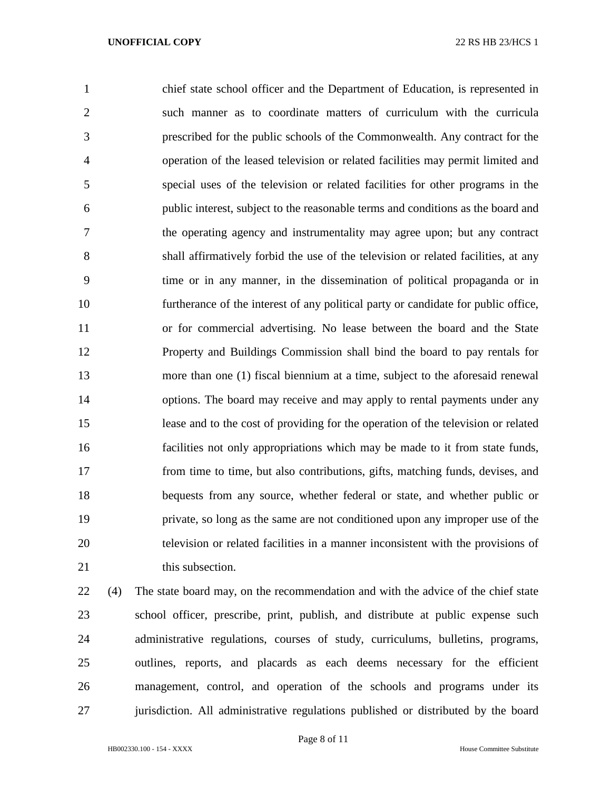chief state school officer and the Department of Education, is represented in such manner as to coordinate matters of curriculum with the curricula prescribed for the public schools of the Commonwealth. Any contract for the operation of the leased television or related facilities may permit limited and special uses of the television or related facilities for other programs in the public interest, subject to the reasonable terms and conditions as the board and the operating agency and instrumentality may agree upon; but any contract shall affirmatively forbid the use of the television or related facilities, at any time or in any manner, in the dissemination of political propaganda or in furtherance of the interest of any political party or candidate for public office, or for commercial advertising. No lease between the board and the State Property and Buildings Commission shall bind the board to pay rentals for more than one (1) fiscal biennium at a time, subject to the aforesaid renewal options. The board may receive and may apply to rental payments under any lease and to the cost of providing for the operation of the television or related facilities not only appropriations which may be made to it from state funds, from time to time, but also contributions, gifts, matching funds, devises, and bequests from any source, whether federal or state, and whether public or private, so long as the same are not conditioned upon any improper use of the television or related facilities in a manner inconsistent with the provisions of 21 this subsection.

 (4) The state board may, on the recommendation and with the advice of the chief state school officer, prescribe, print, publish, and distribute at public expense such administrative regulations, courses of study, curriculums, bulletins, programs, outlines, reports, and placards as each deems necessary for the efficient management, control, and operation of the schools and programs under its jurisdiction. All administrative regulations published or distributed by the board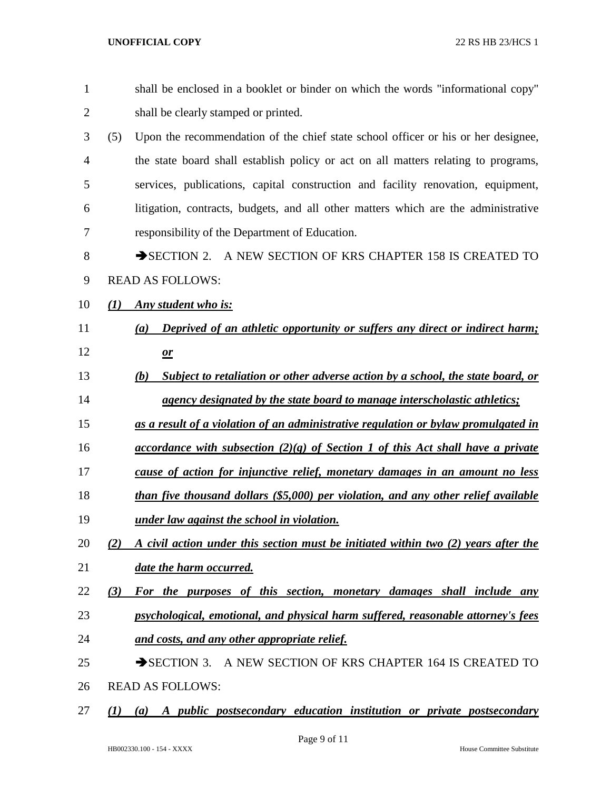| $\mathbf{1}$   | shall be enclosed in a booklet or binder on which the words "informational copy"          |
|----------------|-------------------------------------------------------------------------------------------|
| $\overline{2}$ | shall be clearly stamped or printed.                                                      |
| 3              | (5)<br>Upon the recommendation of the chief state school officer or his or her designee,  |
| $\overline{4}$ | the state board shall establish policy or act on all matters relating to programs,        |
| 5              | services, publications, capital construction and facility renovation, equipment,          |
| 6              | litigation, contracts, budgets, and all other matters which are the administrative        |
| 7              | responsibility of the Department of Education.                                            |
| 8              | SECTION 2. A NEW SECTION OF KRS CHAPTER 158 IS CREATED TO                                 |
| 9              | <b>READ AS FOLLOWS:</b>                                                                   |
| 10             | Any student who is:<br>(1)                                                                |
| 11             | Deprived of an athletic opportunity or suffers any direct or indirect harm;<br>(a)        |
| 12             | $\mathbf{\underline{\mathit{or}}}$                                                        |
| 13             | Subject to retaliation or other adverse action by a school, the state board, or<br>(b)    |
| 14             | agency designated by the state board to manage interscholastic athletics;                 |
| 15             | as a result of a violation of an administrative regulation or bylaw promulgated in        |
| 16             | <u>accordance with subsection (2)(g) of Section 1 of this Act shall have a private</u>    |
| 17             | cause of action for injunctive relief, monetary damages in an amount no less              |
| 18             | than five thousand dollars (\$5,000) per violation, and any other relief available        |
| 19             | under law against the school in violation.                                                |
| 20             | A civil action under this section must be initiated within two (2) years after the<br>(2) |
| 21             | <u>date the harm occurred.</u>                                                            |
| 22             | (3)<br>For the purposes of this section, monetary damages shall include any               |
| 23             | psychological, emotional, and physical harm suffered, reasonable attorney's fees          |
| 24             | and costs, and any other appropriate relief.                                              |
| 25             | SECTION 3. A NEW SECTION OF KRS CHAPTER 164 IS CREATED TO                                 |
| 26             | <b>READ AS FOLLOWS:</b>                                                                   |
| 27             | A public postsecondary education institution or private postsecondary<br>(I)<br>(a)       |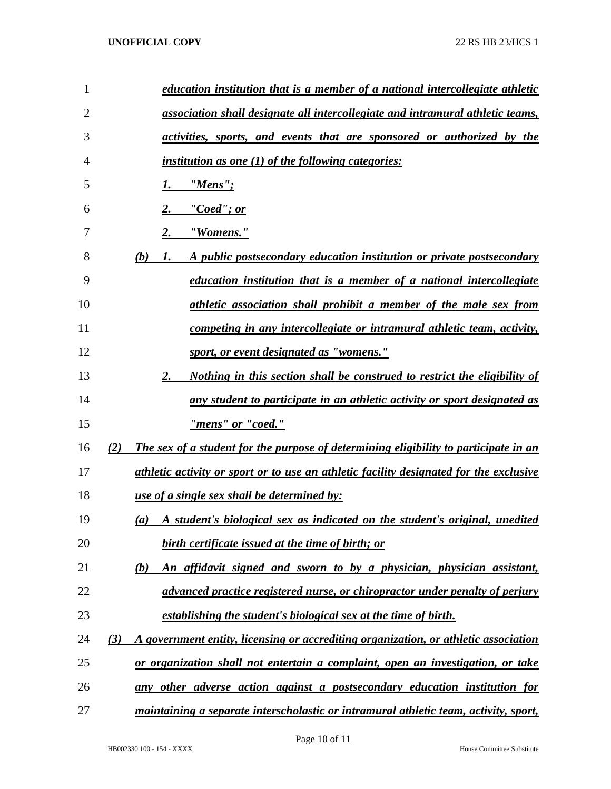| $\mathbf{1}$   | education institution that is a member of a national intercollegiate athletic               |
|----------------|---------------------------------------------------------------------------------------------|
| $\overline{2}$ | association shall designate all intercollegiate and intramural athletic teams,              |
| 3              | activities, sports, and events that are sponsored or authorized by the                      |
| 4              | <i>institution as one (1) of the following categories:</i>                                  |
| 5              | $"Mens"$ ;<br>1.                                                                            |
| 6              | "Coed"; or                                                                                  |
| 7              | 2.<br>"Womens."                                                                             |
| 8              | (b)<br>A public postsecondary education institution or private postsecondary<br>1.          |
| 9              | <u>education institution that is a member of a national intercollegiate</u>                 |
| 10             | athletic association shall prohibit a member of the male sex from                           |
| 11             | <u>competing in any intercollegiate or intramural athletic team, activity,</u>              |
| 12             | sport, or event designated as "womens."                                                     |
| 13             | 2.<br><u>Nothing in this section shall be construed to restrict the eligibility of</u>      |
| 14             | any student to participate in an athletic activity or sport designated as                   |
| 15             | "mens" or "coed."                                                                           |
| 16             | (2)<br>The sex of a student for the purpose of determining eligibility to participate in an |
| 17             | athletic activity or sport or to use an athletic facility designated for the exclusive      |
| 18             | <u>use of a single sex shall be determined by:</u>                                          |
| 19             | A student's biological sex as indicated on the student's original, unedited<br>(a)          |
| 20             | birth certificate issued at the time of birth; or                                           |
| 21             | An affidavit signed and sworn to by a physician, physician assistant,<br>(b)                |
| 22             | advanced practice registered nurse, or chiropractor under penalty of perjury                |
| 23             | <u>establishing the student's biological sex at the time of birth.</u>                      |
| 24             | (3)<br>A government entity, licensing or accrediting organization, or athletic association  |
| 25             | or organization shall not entertain a complaint, open an investigation, or take             |
| 26             | any other adverse action against a postsecondary education institution for                  |
| 27             | maintaining a separate interscholastic or intramural athletic team, activity, sport,        |